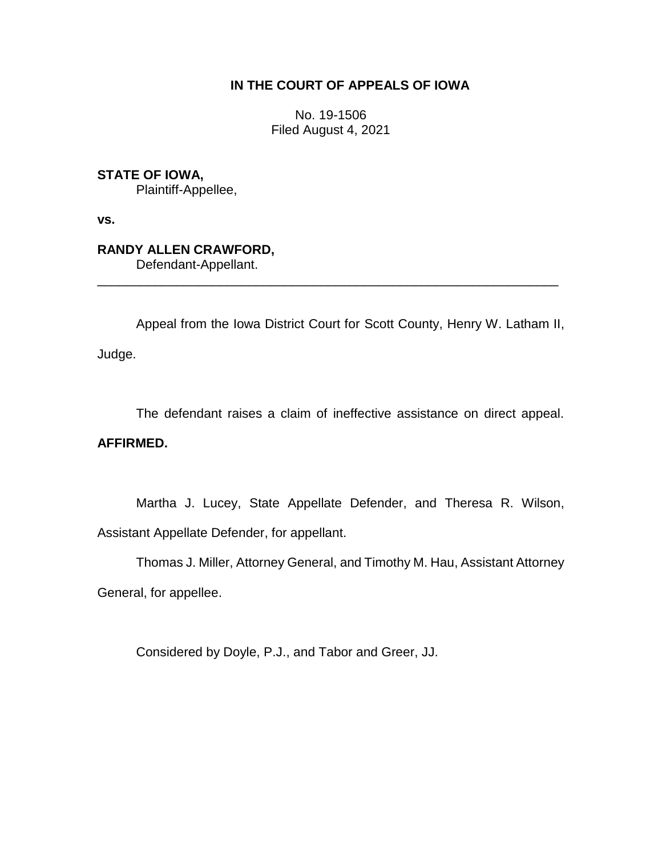### **IN THE COURT OF APPEALS OF IOWA**

No. 19-1506 Filed August 4, 2021

**STATE OF IOWA,** Plaintiff-Appellee,

**vs.**

# **RANDY ALLEN CRAWFORD,**

Defendant-Appellant.

Appeal from the Iowa District Court for Scott County, Henry W. Latham II, Judge.

\_\_\_\_\_\_\_\_\_\_\_\_\_\_\_\_\_\_\_\_\_\_\_\_\_\_\_\_\_\_\_\_\_\_\_\_\_\_\_\_\_\_\_\_\_\_\_\_\_\_\_\_\_\_\_\_\_\_\_\_\_\_\_\_

The defendant raises a claim of ineffective assistance on direct appeal.

## **AFFIRMED.**

Martha J. Lucey, State Appellate Defender, and Theresa R. Wilson, Assistant Appellate Defender, for appellant.

Thomas J. Miller, Attorney General, and Timothy M. Hau, Assistant Attorney

General, for appellee.

Considered by Doyle, P.J., and Tabor and Greer, JJ.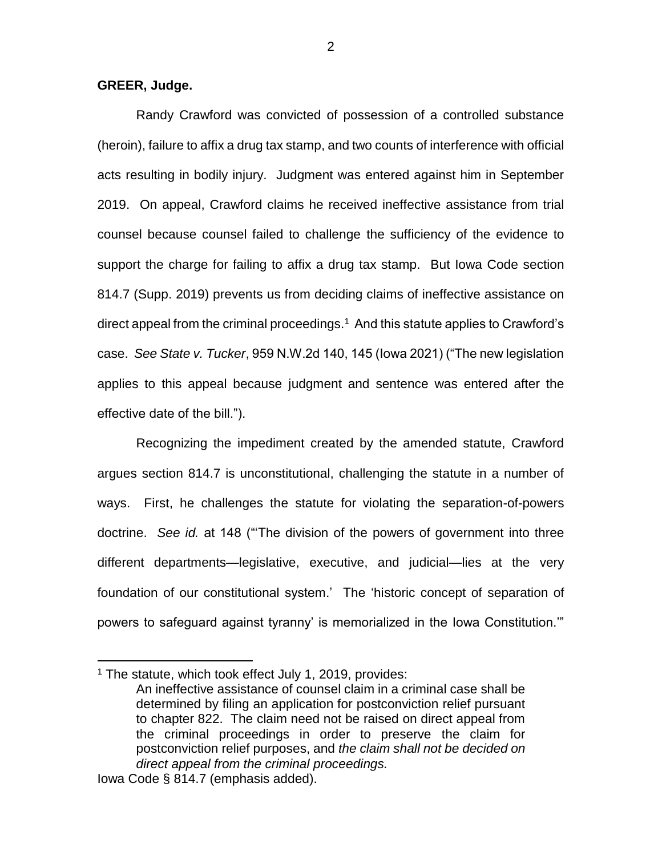#### **GREER, Judge.**

Randy Crawford was convicted of possession of a controlled substance (heroin), failure to affix a drug tax stamp, and two counts of interference with official acts resulting in bodily injury. Judgment was entered against him in September 2019. On appeal, Crawford claims he received ineffective assistance from trial counsel because counsel failed to challenge the sufficiency of the evidence to support the charge for failing to affix a drug tax stamp. But Iowa Code section 814.7 (Supp. 2019) prevents us from deciding claims of ineffective assistance on direct appeal from the criminal proceedings. $<sup>1</sup>$  And this statute applies to Crawford's</sup> case. *See State v. Tucker*, 959 N.W.2d 140, 145 (Iowa 2021) ("The new legislation applies to this appeal because judgment and sentence was entered after the effective date of the bill.").

Recognizing the impediment created by the amended statute, Crawford argues section 814.7 is unconstitutional, challenging the statute in a number of ways. First, he challenges the statute for violating the separation-of-powers doctrine. *See id.* at 148 ("'The division of the powers of government into three different departments—legislative, executive, and judicial—lies at the very foundation of our constitutional system.' The 'historic concept of separation of powers to safeguard against tyranny' is memorialized in the Iowa Constitution.'"

 $\overline{a}$ 

 $1$  The statute, which took effect July 1, 2019, provides:

An ineffective assistance of counsel claim in a criminal case shall be determined by filing an application for postconviction relief pursuant to chapter 822. The claim need not be raised on direct appeal from the criminal proceedings in order to preserve the claim for postconviction relief purposes, and *the claim shall not be decided on direct appeal from the criminal proceedings.*

Iowa Code § 814.7 (emphasis added).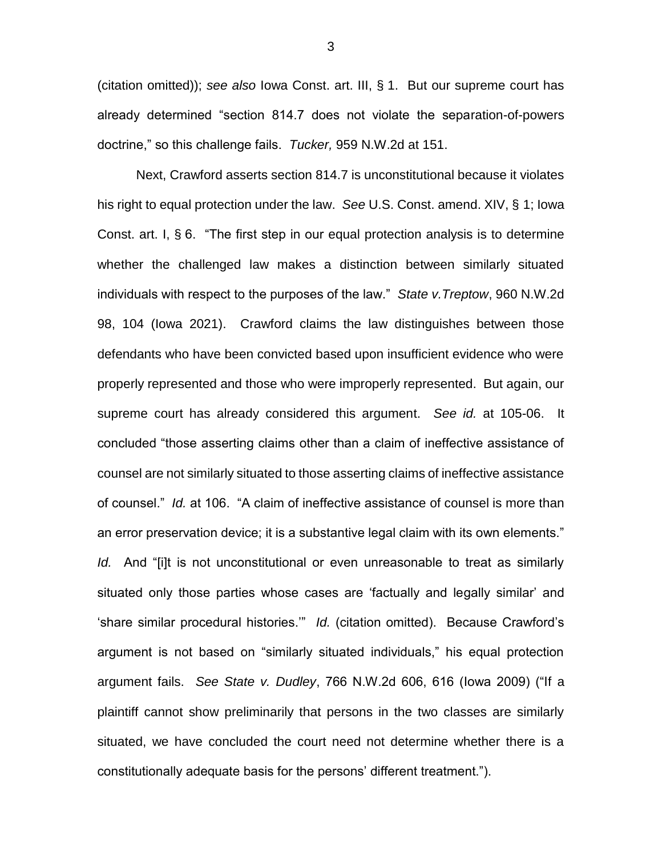(citation omitted)); *see also* Iowa Const. art. III, § 1. But our supreme court has already determined "section 814.7 does not violate the separation-of-powers doctrine," so this challenge fails. *Tucker,* 959 N.W.2d at 151.

Next, Crawford asserts section 814.7 is unconstitutional because it violates his right to equal protection under the law. *See* U.S. Const. amend. XIV, § 1; Iowa Const. art. I, § 6. "The first step in our equal protection analysis is to determine whether the challenged law makes a distinction between similarly situated individuals with respect to the purposes of the law." *State v.Treptow*, 960 N.W.2d 98, 104 (Iowa 2021). Crawford claims the law distinguishes between those defendants who have been convicted based upon insufficient evidence who were properly represented and those who were improperly represented. But again, our supreme court has already considered this argument. *See id.* at 105-06. It concluded "those asserting claims other than a claim of ineffective assistance of counsel are not similarly situated to those asserting claims of ineffective assistance of counsel." *Id.* at 106. "A claim of ineffective assistance of counsel is more than an error preservation device; it is a substantive legal claim with its own elements." *Id.* And "[i]t is not unconstitutional or even unreasonable to treat as similarly situated only those parties whose cases are 'factually and legally similar' and 'share similar procedural histories.'" *Id.* (citation omitted). Because Crawford's argument is not based on "similarly situated individuals," his equal protection argument fails. *See State v. Dudley*, 766 N.W.2d 606, 616 (Iowa 2009) ("If a plaintiff cannot show preliminarily that persons in the two classes are similarly situated, we have concluded the court need not determine whether there is a constitutionally adequate basis for the persons' different treatment.").